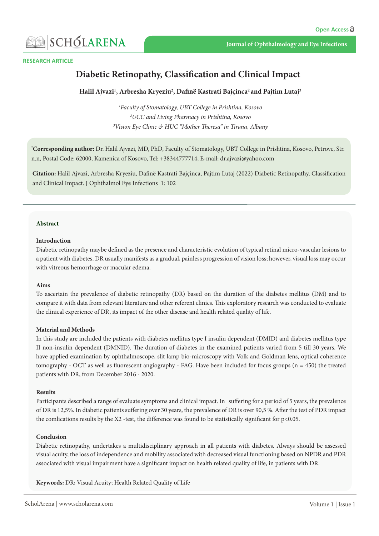

#### **RESEARCH ARTICLE**

# **Diabetic Retinopathy, Classification and Clinical Impact**

### Halil Ajvazi<sup>1</sup>, Arbresha Kryeziu<sup>2</sup>, Dafinë Kastrati Bajçinca<sup>2</sup> and Pajtim Lutaj<sup>3</sup>

<sup>1</sup>Faculty of Stomatology, UBT College in Prishtina, Kosovo <sup>2</sup>UCC and Living Pharmacy in Prishtina, Kosovo <sup>3</sup>Vision Eye Clinic & HUC "Mother Theresa" in Tirana, Albany

\*Corresponding author: Dr. Halil Ajvazi, MD, PhD, Faculty of Stomatology, UBT College in Prishtina, Kosovo, Petrovc, Str. n.n, Postal Code: 62000, Kamenica of Kosovo, Tel: +38344777714, E-mail: dr.ajvazi@yahoo.com

Citation: Halil Ajvazi, Arbresha Kryeziu, Dafinë Kastrati Bajçinca, Pajtim Lutaj (2022) Diabetic Retinopathy, Classification and Clinical Impact. J Ophthalmol Eye Infections 1: 102

### **Abstract**

### **Introduction**

Diabetic retinopathy maybe defined as the presence and characteristic evolution of typical retinal micro-vascular lesions to a patient with diabetes. DR usually manifests as a gradual, painless progression of vision loss; however, visual loss may occur with vitreous hemorrhage or macular edema.

### **Aims**

To ascertain the prevalence of diabetic retinopathy (DR) based on the duration of the diabetes mellitus (DM) and to compare it with data from relevant literature and other referent clinics. This exploratory research was conducted to evaluate the clinical experience of DR, its impact of the other disease and health related quality of life.

### **Methods and Material**

In this study are included the patients with diabetes mellitus type I insulin dependent (DMID) and diabetes mellitus type II non-insulin dependent (DMNID). The duration of diabetes in the examined patients varied from 5 till 30 years. We have applied examination by ophthalmoscope, slit lamp bio-microscopy with Volk and Goldman lens, optical coherence tomography - OCT as well as fluorescent angiography - FAG. Have been included for focus groups ( $n = 450$ ) the treated patients with DR, from December 2016 - 2020.

### **Results**

Participants described a range of evaluate symptoms and clinical impact. In suffering for a period of 5 years, the prevalence of DR is 12,5%. In diabetic patients suffering over 30 years, the prevalence of DR is over 90,5 %. After the test of PDR impact the comlications results by the X2 -test, the difference was found to be statistically significant for  $p<0.05$ .

### **Conclusion**

Diabetic retinopathy, undertakes a multidisciplinary approach in all patients with diabetes. Always should be assessed visual acuity, the loss of independence and mobility associated with decreased visual functioning based on NPDR and PDR associated with visual impairment have a significant impact on health related quality of life, in patients with DR.

Keywords: DR; Visual Acuity; Health Related Quality of Life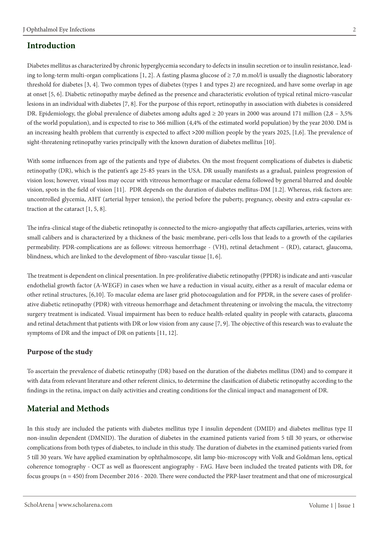## **Introduction**

ing to long-term multi-organ complications [1, 2]. A fasting plasma glucose of  $\geq$  7,0 m.mol/l is usually the diagnostic laboratory Diabetes mellitus as characterized by chronic hyperglycemia secondary to defects in insulin secretion or to insulin resistance, leadthreshold for diabetes  $[3, 4]$ . Two common types of diabetes (types 1 and types 2) are recognized, and have some overlap in age at onset [5, 6]. Diabetic retinopathy maybe defined as the presence and characteristic evolution of typical retinal micro-vascular lesions in an individual with diabetes [7, 8]. For the purpose of this report, retinopathy in association with diabetes is considered DR. Epidemiology, the global prevalence of diabetes among adults aged  $\geq$  20 years in 2000 was around 171 million (2,8 – 3,5%) of the world population), and is expected to rise to 366 million (4,4% of the estimated world population) by the year 2030. DM is an increasing health problem that currently is expected to affect  $>$ 200 million people by the years 2025, [1,6]. The prevalence of sight-threatening retinopathy varies principally with the known duration of diabetes mellitus [10].

With some influences from age of the patients and type of diabetes. On the most frequent complications of diabetes is diabetic retinopathy (DR), which is the patient's age 25-85 years in the USA. DR usually manifests as a gradual, painless progression of vision loss; however, visual loss may occur with vitreous hemorrhage or macular edema followed by general blurred and double vision, spots in the field of vision [11]. PDR depends on the duration of diabetes mellitus-DM  $[1.2]$ . Whereas, risk factors are: uncontrolled glycemia, AHT (arterial hyper tension), the period before the puberty, pregnancy, obesity and extra-capsular ex-<br>traction at the cataract [1, 5, 8].

The infra-clinical stage of the diabetic retinopathy is connected to the micro-angiopathy that affects capillaries, arteries, veins with small calibers and is characterized by a thickness of the basic membrane, peri-cells loss that leads to a growth of the capilaries permeability. PDR-complications are as follows: vitreous hemorrhage - (VH), retinal detachment - (RD), cataract, glaucoma, blindness, which are linked to the development of fibro-vascular tissue  $[1, 6]$ .

The treatment is dependent on clinical presentation. In pre-proliferative diabetic retinopathy (PPDR) is indicate and anti-vascular endothelial growth factor (A-WEGF) in cases when we have a reduction in visual acuity, either as a result of macular edema or ative diabetic retinopathy (PDR) with vitreous hemorrhage and detachment threatening or involving the macula, the vitrectomy other retinal structures, [6,10]. To macular edema are laser grid photocoagulation and for PPDR, in the severe cases of prolifersurgery treatment is indicated. Visual impairment has been to reduce health-related quality in people with cataracts, glaucoma and retinal detachment that patients with DR or low vision from any cause [7, 9]. The objective of this research was to evaluate the symptoms of DR and the impact of DR on patients [11, 12].

## **Purpose of the study**

To ascertain the prevalence of diabetic retinopathy (DR) based on the duration of the diabetes mellitus (DM) and to compare it with data from relevant literature and other referent clinics, to determine the clasification of diabetic retinopathy according to the findings in the retina, impact on daily activities and creating conditions for the clinical impact and management of DR.

## **Methods and Material**

In this study are included the patients with diabetes mellitus type I insulin dependent (DMID) and diabetes mellitus type II non-insulin dependent (DMNID). The duration of diabetes in the examined patients varied from 5 till 30 years, or otherwise complications from both types of diabetes, to include in this study. The duration of diabetes in the examined patients varied from 5 till 30 years. We have applied examination by ophthalmoscope, slit lamp bio-microscopy with Volk and Goldman lens, optical coherence tomography - OCT as well as fluorescent angiography - FAG. Have been included the treated patients with DR, for focus groups ( $n = 450$ ) from December 2016 - 2020. There were conducted the PRP-laser treatment and that one of microsurgical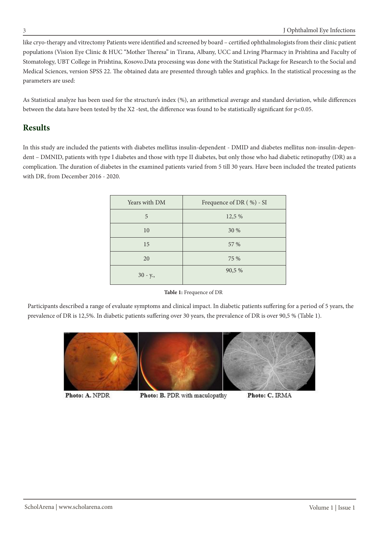like cryo-therapy and vitrectomy Patients were identified and screened by board – certified ophthalmologists from their clinic patient populations (Vision Eye Clinic & HUC "Mother Theresa" in Tirana, Albany, UCC and Living Pharmacy in Prishtina and Faculty of Stomatology, UBT College in Prishtina, Kosovo.Data processing was done with the Statistical Package for Research to the Social and Medical Sciences, version SPSS 22. The obtained data are presented through tables and graphics. In the statistical processing as the parameters are used:

As Statistical analyze has been used for the structure's index (%), an arithmetical average and standard deviation, while differences between the data have been tested by the X2 -test, the difference was found to be statistically significant for  $p<0.05$ .

## **Results**

dent - DMNID, patients with type I diabetes and those with type II diabetes, but only those who had diabetic retinopathy (DR) as a In this study are included the patients with diabetes mellitus insulin-dependent - DMID and diabetes mellitus non-insulin-depencomplication. The duration of diabetes in the examined patients varied from 5 till 30 years. Have been included the treated patients with DR, from December 2016 - 2020.

| Years with DM | Frequence of DR (%) - SI |
|---------------|--------------------------|
| 5             | 12,5 %                   |
| 10            | 30 %                     |
| 15            | 57 %                     |
| 20            | 75 %                     |
| $30 - y$ .    | 90,5 %                   |

Table 1: Frequence of DR

Participants described a range of evaluate symptoms and clinical impact. In diabetic patients suffering for a period of 5 years, the prevalence of DR is 12,5%. In diabetic patients suffering over 30 years, the prevalence of DR is over 90,5 % (Table 1).



Photo: A. NPDR

Photo: B. PDR with maculopathy

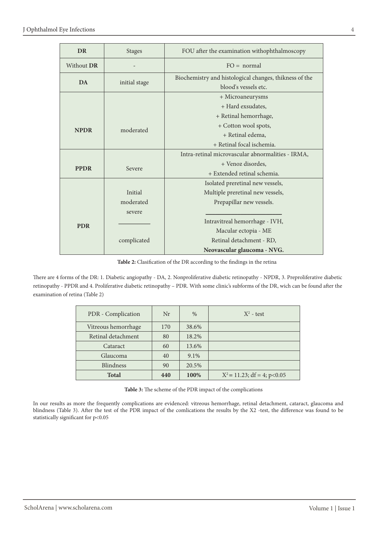| <b>DR</b>   | <b>Stages</b> | FOU after the examination withophthalmoscopy                                   |  |  |
|-------------|---------------|--------------------------------------------------------------------------------|--|--|
| Without DR  |               | $FO = normal$                                                                  |  |  |
| <b>DA</b>   | initial stage | Biochemistry and histological changes, thikness of the<br>blood's vessels etc. |  |  |
|             |               | + Microaneurysms                                                               |  |  |
|             |               | + Hard exsudates,                                                              |  |  |
|             |               | + Retinal hemorrhage,                                                          |  |  |
| <b>NPDR</b> | moderated     | + Cotton wool spots,                                                           |  |  |
|             |               | + Retinal edema,                                                               |  |  |
|             |               | + Retinal focal ischemia.                                                      |  |  |
|             |               | Intra-retinal microvascular abnormalities - IRMA,                              |  |  |
| <b>PPDR</b> | Severe        | + Venoz disordes,                                                              |  |  |
|             |               | + Extended retinal schemia.                                                    |  |  |
|             |               | Isolated preretinal new vessels,                                               |  |  |
|             | Initial       | Multiple preretinal new vessels,                                               |  |  |
|             | moderated     | Prepapillar new vessels.                                                       |  |  |
| <b>PDR</b>  | severe        |                                                                                |  |  |
|             |               | Intravitreal hemorrhage - IVH,                                                 |  |  |
|             |               | Macular ectopia - ME                                                           |  |  |
|             | complicated   | Retinal detachment - RD,                                                       |  |  |
|             |               | Neovascular glaucoma - NVG.                                                    |  |  |

Table 2: Clasification of the DR according to the findings in the retina

There are 4 forms of the DR: 1. Diabetic angiopathy - DA, 2. Nonproliferative diabetic retinopathy - NPDR, 3. Preproliferative diabetic retinopathy - PPDR and 4. Proliferative diabetic retinopathy - PDR. With some clinic's subforms of the DR, wich can be found after the examination of retina (Table 2)

| PDR - Complication  | Nr  | $\%$  | $X^2$ - test                   |
|---------------------|-----|-------|--------------------------------|
| Vitreous hemorrhage | 170 | 38.6% |                                |
| Retinal detachment  | 80  | 18.2% |                                |
| Cataract            | 60  | 13.6% |                                |
| Glaucoma            | 40  | 9.1%  |                                |
| Blindness           | 90  | 20.5% |                                |
| <b>Total</b>        | 440 | 100%  | $X^2 = 11.23$ ; df = 4; p<0.05 |

Table 3: The scheme of the PDR impact of the complications

In our results as more the frequently complications are evidenced: vitreous hemorrhage, retinal detachment, cataract, glaucoma and blindness (Table 3). After the test of the PDR impact of the comlications the results by the X2 -test, the difference was found to be statistically significant for p<0.05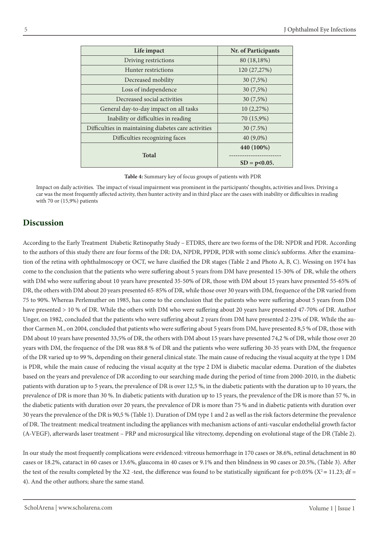| Life impact                                          | Nr. of Participants |
|------------------------------------------------------|---------------------|
| Driving restrictions                                 | 80 (18,18%)         |
| Hunter restrictions                                  | 120 (27,27%)        |
| Decreased mobility                                   | 30(7,5%)            |
| Loss of independence                                 | 30 (7,5%)           |
| Decreased social activities                          | 30 (7,5%)           |
| General day-to-day impact on all tasks               | 10 (2,27%)          |
| Inability or difficulties in reading                 | 70 (15,9%)          |
| Difficulties in maintaining diabetes care activities | 30 (7.5%)           |
| Difficulties recognizing faces                       | $40(9,0\%)$         |
|                                                      | 440 (100%)          |
| <b>Total</b>                                         |                     |
|                                                      | $SD = p < 0.05$ .   |

Table 4: Summary key of focus groups of patients with PDR

Impact on daily activities. The impact of visual impairment was prominent in the participants' thoughts, activities and lives. Driving a car was the most frequently affected activity, then hunter activity and in third place are the cases with inability or difficulties in reading with 70 or  $(15,9%)$  patients

# **Discussion**

According to the Early Treatment Diabetic Retinopathy Study – ETDRS, there are two forms of the DR: NPDR and PDR. According tion of the retina with ophthalmoscopy or OCT, we have clasified the DR stages (Table 2 and Photo A, B, C). Wessing on 1974 has to the authors of this study there are four forms of the DR: DA, NPDR, PPDR, PDR with some clinic's subforms. After the examinacome to the conclusion that the patients who were suffering about 5 years from DM have presented 15-30% of DR, while the others with DM who were suffering about 10 years have presented 35-50% of DR, those with DM about 15 years have presented 55-65% of DR, the others with DM about 20 years presented 65-85% of DR, while those over 30 years with DM, frequence of the DR varied from 75 to 90%. Whereas Perlemuther on 1985, has come to the conclusion that the patients who were suffering about 5 years from DM have presented > 10 % of DR. While the others with DM who were suffering about 20 years have presented 47-70% of DR. Author thor Carmen M., on 2004, concluded that patients who were suffering about 5 years from DM, have presented 8,5 % of DR, those with Unger, on 1982, concluded that the patients who were suffering about 2 years from DM have presented 2-23% of DR. While the au-DM about 10 years have presented 33,5% of DR, the others with DM about 15 years have presented 74,2 % of DR, while those over 20 years with DM, the frequence of the DR was 88.8 % of DR and the patients who were suffering 30-35 years with DM, the frequence of the DR varied up to 99%, depending on their general clinical state. The main cause of reducing the visual acquity at the type 1 DM is PDR, while the main cause of reducing the visual acquity at the type 2 DM is diabetic macular edema. Duration of the diabetes based on the years and prevalence of DR according to our searching made during the period of time from 2000-2010, in the diabetic patients with duration up to 5 years, the prevalence of DR is over 12,5 %, in the diabetic patients with the duration up to 10 years, the prevalence of DR is more than 30 %. In diabetic patients with duration up to 15 years, the prevalence of the DR is more than 57 %, in the diabetic patients with duration over 20 years, the prevalence of DR is more than 75 % and in diabetic patients with duration over 30 years the prevalence of the DR is 90,5 % (Table 1). Duration of DM type 1 and 2 as well as the risk factors determine the prevalence of DR. The treatment: medical treatment including the appliances with mechanism actions of anti-vascular endothelial growth factor (A-VEGF), afterwards laser treatment – PRP and microsurgical like vitrectomy, depending on evolutional stage of the DR (Table 2).

In our study the most frequently complications were evidenced: vitreous hemorrhage in 170 cases or 38.6%, retinal detachment in 80 cases or 18.2%, cataract in 60 cases or 13.6%, glaucoma in 40 cases or 9.1% and then blindness in 90 cases or 20.5%, (Table 3). After the test of the results completed by the X2 -test, the difference was found to be statistically significant for  $p<0.05\%$  (X<sup>2</sup> = 11.23; df = 4). And the other authors; share the same stand.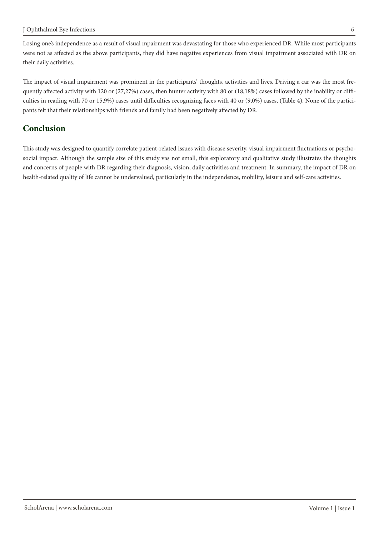Losing one's independence as a result of visual mpairment was devastating for those who experienced DR. While most participants were not as affected as the above participants, they did have negative experiences from visual impairment associated with DR on their daily activities.

culties in reading with 70 or 15,9%) cases until difficulties recognizing faces with 40 or (9,0%) cases, (Table 4). None of the partici-<br>pants felt that their relationships with friends and family had been negatively affec quently affected activity with 120 or (27,27%) cases, then hunter activity with 80 or (18,18%) cases followed by the inability or diffi-<br>culties in reading with 70 or 15,9%) cases until difficulties recognizing faces with quently affected activity with 120 or (27,27%) cases, then hunter activity with 80 or (18,18%) cases followed by the inability or diffi-The impact of visual impairment was prominent in the participants' thoughts, activities and lives. Driving a car was the most fre-

## **Conclusion**

social impact. Although the sample size of this study vas not small, this exploratory and qualitative study illustrates the thoughts This study was designed to quantify correlate patient-related issues with disease severity, visual impairment fluctuations or psychoand concerns of people with DR regarding their diagnosis, vision, daily activities and treatment. In summary, the impact of DR on health-related quality of life cannot be undervalued, particularly in the independence, mobility, leisure and self-care activities.